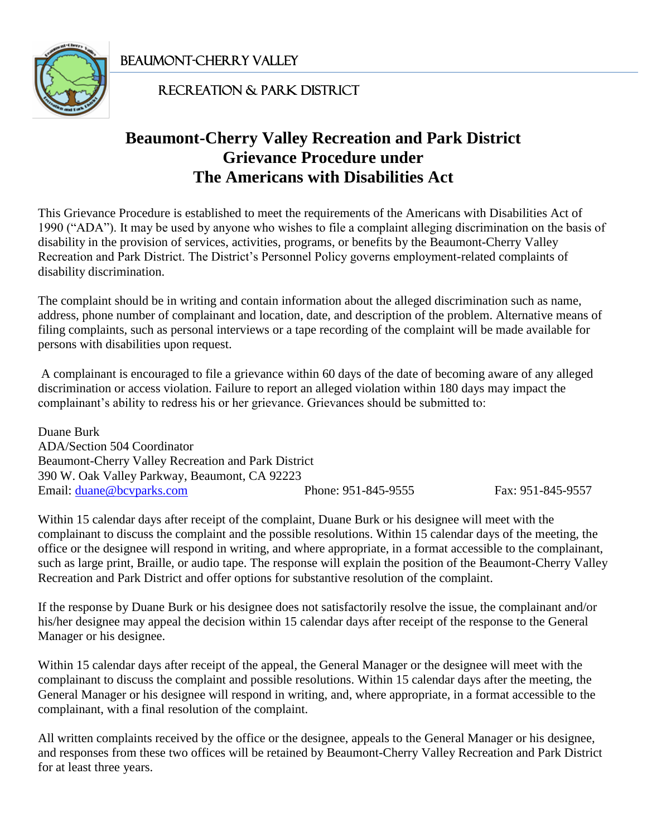Beaumont-Cherry Valley j



#### Recreation & Park District

# **Beaumont-Cherry Valley Recreation and Park District Grievance Procedure under The Americans with Disabilities Act**

This Grievance Procedure is established to meet the requirements of the Americans with Disabilities Act of 1990 ("ADA"). It may be used by anyone who wishes to file a complaint alleging discrimination on the basis of disability in the provision of services, activities, programs, or benefits by the Beaumont-Cherry Valley Recreation and Park District. The District's Personnel Policy governs employment-related complaints of disability discrimination.

The complaint should be in writing and contain information about the alleged discrimination such as name, address, phone number of complainant and location, date, and description of the problem. Alternative means of filing complaints, such as personal interviews or a tape recording of the complaint will be made available for persons with disabilities upon request.

A complainant is encouraged to file a grievance within 60 days of the date of becoming aware of any alleged discrimination or access violation. Failure to report an alleged violation within 180 days may impact the complainant's ability to redress his or her grievance. Grievances should be submitted to:

Duane Burk ADA/Section 504 Coordinator Beaumont-Cherry Valley Recreation and Park District 390 W. Oak Valley Parkway, Beaumont, CA 92223 Email: <u>duane@bcvparks.com</u> Phone: 951-845-9555 Fax: 951-845-9557

Within 15 calendar days after receipt of the complaint, Duane Burk or his designee will meet with the complainant to discuss the complaint and the possible resolutions. Within 15 calendar days of the meeting, the office or the designee will respond in writing, and where appropriate, in a format accessible to the complainant, such as large print, Braille, or audio tape. The response will explain the position of the Beaumont-Cherry Valley Recreation and Park District and offer options for substantive resolution of the complaint.

If the response by Duane Burk or his designee does not satisfactorily resolve the issue, the complainant and/or his/her designee may appeal the decision within 15 calendar days after receipt of the response to the General Manager or his designee.

Within 15 calendar days after receipt of the appeal, the General Manager or the designee will meet with the complainant to discuss the complaint and possible resolutions. Within 15 calendar days after the meeting, the General Manager or his designee will respond in writing, and, where appropriate, in a format accessible to the complainant, with a final resolution of the complaint.

All written complaints received by the office or the designee, appeals to the General Manager or his designee, and responses from these two offices will be retained by Beaumont-Cherry Valley Recreation and Park District for at least three years.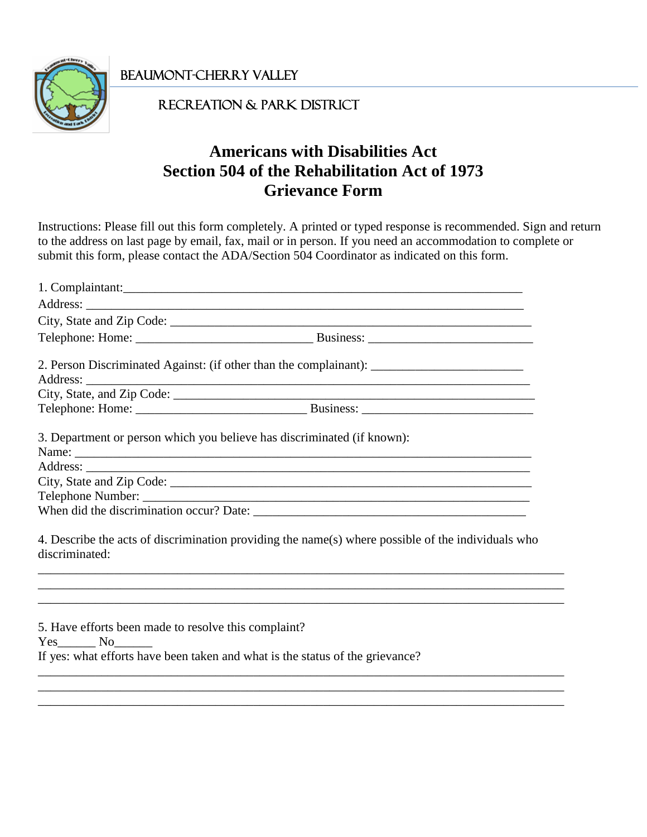Beaumont-Cherry Valley Ī



### Recreation & Park District

# **Americans with Disabilities Act Section 504 of the Rehabilitation Act of 1973 Grievance Form**

Instructions: Please fill out this form completely. A printed or typed response is recommended. Sign and return to the address on last page by email, fax, mail or in person. If you need an accommodation to complete or submit this form, please contact the ADA/Section 504 Coordinator as indicated on this form.

|                                                      | 1. Complaintant:                                                                                     |
|------------------------------------------------------|------------------------------------------------------------------------------------------------------|
|                                                      |                                                                                                      |
|                                                      |                                                                                                      |
|                                                      |                                                                                                      |
|                                                      | 2. Person Discriminated Against: (if other than the complainant): __________________________________ |
|                                                      |                                                                                                      |
|                                                      |                                                                                                      |
|                                                      | 3. Department or person which you believe has discriminated (if known):                              |
|                                                      |                                                                                                      |
|                                                      |                                                                                                      |
|                                                      |                                                                                                      |
|                                                      |                                                                                                      |
| discriminated:                                       | 4. Describe the acts of discrimination providing the name(s) where possible of the individuals who   |
|                                                      | ,我们也不能在这里的时候,我们也不能在这里的时候,我们也不能会在这里的时候,我们也不能会在这里的时候,我们也不能会在这里的时候,我们也不能会在这里的时候,我们也不                    |
| 5. Have efforts been made to resolve this complaint? |                                                                                                      |
| Yes No                                               |                                                                                                      |
|                                                      | If yes: what efforts have been taken and what is the status of the grievance?                        |
|                                                      |                                                                                                      |

\_\_\_\_\_\_\_\_\_\_\_\_\_\_\_\_\_\_\_\_\_\_\_\_\_\_\_\_\_\_\_\_\_\_\_\_\_\_\_\_\_\_\_\_\_\_\_\_\_\_\_\_\_\_\_\_\_\_\_\_\_\_\_\_\_\_\_\_\_\_\_\_\_\_\_\_\_\_\_\_\_\_\_